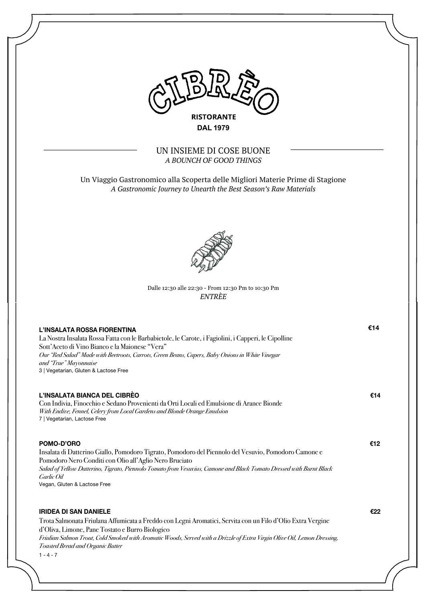

UN INSIEME DI COSE BUONE *A BOUNCH OF GOOD THINGS*

Un Viaggio Gastronomico alla Scoperta delle Migliori Materie Prime di Stagione *A Gastronomic Journey to Unearth the Best Season's Raw Materials*



# Dalle 12:30 alle 22:30 - From 12:30 Pm to 10:30 Pm *ENTRÈE*

| L'INSALATA ROSSA FIORENTINA<br>La Nostra Insalata Rossa Fatta con le Barbabietole, le Carote, i Fagiolini, i Capperi, le Cipolline<br>Sott'Aceto di Vino Bianco e la Maionese "Vera"<br>Our "Red Salad" Made with Beetroots, Carrots, Green Beans, Capers, Baby Onions in White Vinegar<br>and "True" Mayonnaise<br>3   Vegetarian, Gluten & Lactose Free                    | €14 |
|------------------------------------------------------------------------------------------------------------------------------------------------------------------------------------------------------------------------------------------------------------------------------------------------------------------------------------------------------------------------------|-----|
| L'INSALATA BIANCA DEL CIBRÈO<br>Con Indivia, Finocchio e Sedano Provenienti da Orti Locali ed Emulsione di Arance Bionde<br>With Endive, Fennel, Celery from Local Gardens and Blonde Orange Emulsion<br>7   Vegetarian, Lactose Free                                                                                                                                        | €14 |
| POMO-D'ORO<br>Insalata di Datterino Giallo, Pomodoro Tigrato, Pomodoro del Piennolo del Vesuvio, Pomodoro Camone e<br>Pomodoro Nero Conditi con Olio all'Aglio Nero Bruciato<br>Salad of Yellow Datterino, Tigrato, Piennolo Tomato from Vesuvius, Camone and Black Tomato Dressed with Burnt Black<br>Garlic Oil<br>Vegan, Gluten & Lactose Free                            | €12 |
| <b>IRIDEA DI SAN DANIELE</b><br>Trota Salmonata Friulana Affumicata a Freddo con Legni Aromatici, Servita con un Filo d'Olio Extra Vergine<br>d'Oliva, Limone, Pane Tostato e Burro Biologico<br>Friulian Salmon Trout, Cold Smoked with Aromatic Woods, Served with a Drizzle of Extra Virgin Olive Oil, Lemon Dressing,<br>Toasted Bread and Organic Butter<br>$1 - 4 - 7$ | €22 |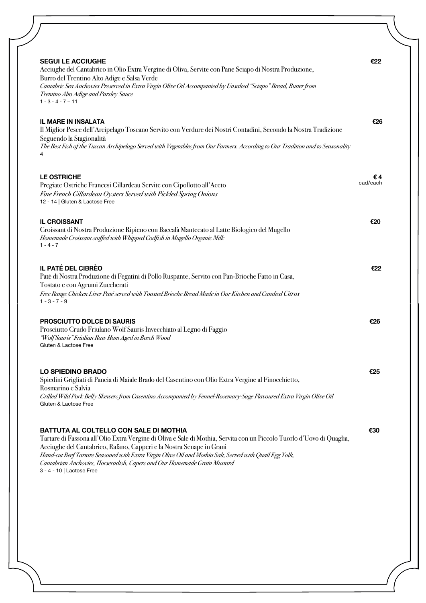| <b>SEGUI LE ACCIUGHE</b>                                                                                                                                                                                                                                                                                                                                                                                                                                    | €22            |
|-------------------------------------------------------------------------------------------------------------------------------------------------------------------------------------------------------------------------------------------------------------------------------------------------------------------------------------------------------------------------------------------------------------------------------------------------------------|----------------|
| Acciughe del Cantabrico in Olio Extra Vergine di Oliva, Servite con Pane Sciapo di Nostra Produzione,<br>Burro del Trentino Alto Adige e Salsa Verde<br>Cantabric Sea Anchovies Preserved in Extra Virgin Olive Oil Accompanied by Unsalted "Sciapo" Bread, Butter from<br>Trentino Alto Adige and Parsley Sauce<br>$1 - 3 - 4 - 7 - 11$                                                                                                                    |                |
| <b>IL MARE IN INSALATA</b><br>Il Miglior Pesce dell'Arcipelago Toscano Servito con Verdure dei Nostri Contadini, Secondo la Nostra Tradizione<br>Seguendo la Stagionalità<br>The Best Fish of the Tuscan Archipelago Served with Vegetables from Our Farmers, According to Our Tradition and to Seasonality                                                                                                                                                 | €26            |
| <b>LE OSTRICHE</b><br>Pregiate Ostriche Francesi Gillardeau Servite con Cipollotto all'Aceto<br>Fine French Gillardeau Oysters Served with Pickled Spring Onions<br>12 - 14   Gluten & Lactose Free                                                                                                                                                                                                                                                         | €4<br>cad/each |
| <b>IL CROISSANT</b><br>Croissant di Nostra Produzione Ripieno con Baccalà Mantecato al Latte Biologico del Mugello<br>Homemade Croissant stuffed with Whipped Codfish in Mugello Organic Milk<br>$1 - 4 - 7$                                                                                                                                                                                                                                                | €20            |
| IL PATÉ DEL CIBRÈO<br>Patè di Nostra Produzione di Fegatini di Pollo Ruspante, Servito con Pan-Brioche Fatto in Casa,<br>Tostato e con Agrumi Zuccherati<br>Free Range Chicken Liver Paté served with Toasted Brioche Bread Made in Our Kitchen and Candied Citrus<br>$1 - 3 - 7 - 9$                                                                                                                                                                       | €22            |
| PROSCIUTTO DOLCE DI SAURIS<br>Prosciutto Crudo Friulano Wolf Sauris Invecchiato al Legno di Faggio<br>"Wolf Sauris" Friulian Raw Ham Aged in Beech Wood<br>Gluten & Lactose Free                                                                                                                                                                                                                                                                            | €26            |
| <b>LO SPIEDINO BRADO</b><br>Spiedini Grigliati di Pancia di Maiale Brado del Casentino con Olio Extra Vergine al Finocchietto,<br>Rosmarino e Salvia<br>Grilled Wild Pork Belly Skewers from Casentino Accompanied by Fennel-Rosemary-Sage Flavoured Extra Virgin Olive Oil<br>Gluten & Lactose Free                                                                                                                                                        | €25            |
| BATTUTA AL COLTELLO CON SALE DI MOTHIA<br>Tartare di Fassona all'Olio Extra Vergine di Oliva e Sale di Mothia, Servita con un Piccolo Tuorlo d'Uovo di Quaglia,<br>Acciughe del Cantabrico, Rafano, Capperi e la Nostra Senape in Grani<br>Hand-cut Beef Tartare Seasoned with Extra Virgin Olive Oil and Mothia Salt, Served with Quail Egg Yolk,<br>Cantabrian Anchovies, Horseradish, Capers and Our Homemade Grain Mustard<br>3 - 4 - 10   Lactose Free | €30            |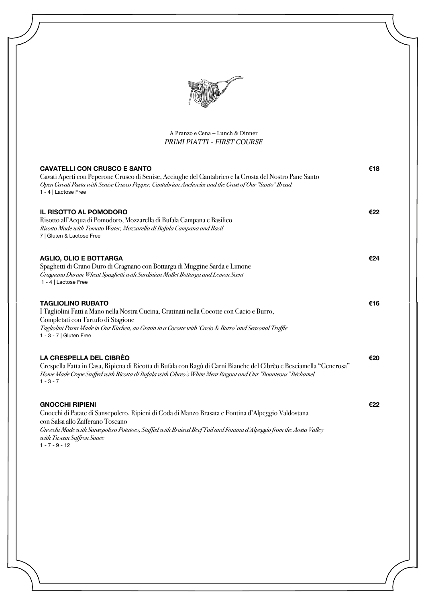

A Pranzo e Cena – Lunch & Dinner *PRIMI PIATTI - FIRST COURSE*

| <b>CAVATELLI CON CRUSCO E SANTO</b><br>Cavati Aperti con Peperone Crusco di Senise, Acciughe del Cantabrico e la Crosta del Nostro Pane Santo<br>Open Cavati Pasta with Senise Crusco Pepper, Cantabrian Anchovies and the Crust of Our "Santo" Bread<br>1 - 4   Lactose Free                                                            | €18 |
|------------------------------------------------------------------------------------------------------------------------------------------------------------------------------------------------------------------------------------------------------------------------------------------------------------------------------------------|-----|
| <b>IL RISOTTO AL POMODORO</b><br>Risotto all'Acqua di Pomodoro, Mozzarella di Bufala Campana e Basilico<br>Risotto Made with Tomato Water, Mozzarella di Bufala Campana and Basil<br>7   Gluten & Lactose Free                                                                                                                           | €22 |
| <b>AGLIO, OLIO E BOTTARGA</b><br>Spaghetti di Grano Duro di Gragnano con Bottarga di Muggine Sarda e Limone<br>Gragnano Durum Wheat Spaghetti with Sardinian Mullet Bottarga and Lemon Scent<br>1 - 4   Lactose Free                                                                                                                     | €24 |
| <b>TAGLIOLINO RUBATO</b><br>I Tagliolini Fatti a Mano nella Nostra Cucina, Gratinati nella Cocotte con Cacio e Burro,<br>Completati con Tartufo di Stagione<br>Tagliolini Pasta Made in Our Kitchen, au Gratin in a Cocotte with 'Cacio & Burro' and Seasonal Truffle<br>1 - 3 - 7   Gluten Free                                         | €16 |
| <b>LA CRESPELLA DEL CIBRÈO</b><br>Crespella Fatta in Casa, Ripiena di Ricotta di Bufala con Ragù di Carni Bianche del Cibrèo e Besciamella "Generosa"<br>Home Made Crepe Suiffed with Ricotia di Bufala with Cibrèo's White Meat Ragout and Our "Bounteous" Béchamel<br>$1 - 3 - 7$                                                      | €20 |
| <b>GNOCCHI RIPIENI</b><br>Gnocchi di Patate di Sansepolcro, Ripieni di Coda di Manzo Brasata e Fontina d'Alpeggio Valdostana<br>con Salsa allo Zafferano Toscano<br>Gnocchi Made with Sansepolcro Potatoes, Sutffed with Braised Beef Tail and Fontina d'Alpeggio from the Aosta Valley<br>with Tuscan Saffron Sauce<br>$1 - 7 - 9 - 12$ | €22 |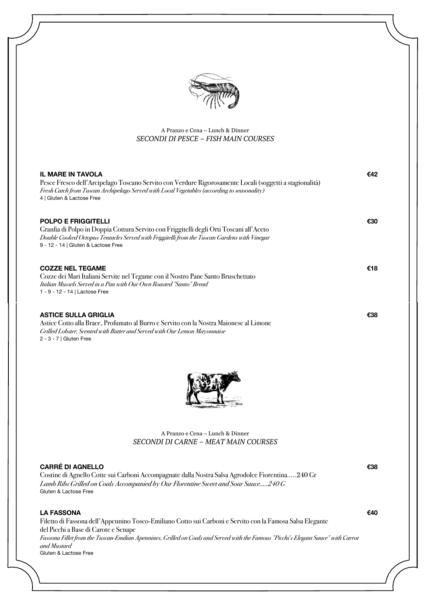

# A Pranzo e Cena – Lunch & Dinner *SECONDI DI PESCE – FISH MAIN COURSES*

| <b>IL MARE IN TAVOLA</b><br>Pesce Fresco dell'Arcipelago Toscano Servito con Verdure Rigorosamente Locali (soggetti a stagionalità)<br>Fresh Catch from Tuscan Archipelago Served with Local Vegetables (according to seasonality)<br>4   Gluten & Lactose Free                                                                                      | €42 |
|------------------------------------------------------------------------------------------------------------------------------------------------------------------------------------------------------------------------------------------------------------------------------------------------------------------------------------------------------|-----|
| <b>POLPO E FRIGGITELLI</b><br>Granfia di Polpo in Doppia Cottura Servito con Friggitelli degli Orti Toscani all'Aceto<br>Double Cooked Octopus Tentacles Served with Friggitelli from the Tuscan Gardens with Vinegar<br>9 - 12 - 14   Gluten & Lactose Free                                                                                         | €30 |
| <b>COZZE NEL TEGAME</b><br>Cozze dei Mari Italiani Servite nel Tegame con il Nostro Pane Santo Bruschettato<br>Italian Mussels Served in a Pan with Our Own Roasted "Santo" Bread<br>1 - 9 - 12 - 14   Lactose Free                                                                                                                                  | €18 |
| <b>ASTICE SULLA GRIGLIA</b><br>Astice Cotto alla Brace, Profumato al Burro e Servito con la Nostra Maionese al Limone<br>Grilled Lobster, Scented with Butter and Served with Our Lemon Mayonnaise<br>2 - 3 - 7   Gluten Free                                                                                                                        | €38 |
|                                                                                                                                                                                                                                                                                                                                                      |     |
| A Pranzo e Cena – Lunch & Dinner<br>SECONDI DI CARNE - MEAT MAIN COURSES                                                                                                                                                                                                                                                                             |     |
| <b>CARRÉ DI AGNELLO</b><br>Costine di Agnello Cotte sui Carboni Accompagnate dalla Nostra Salsa Agrodolce Fiorentina240 Gr<br>Lamb Ribs Grilled on Coals Accompanied by Our Florentine Sweet and Sour Sauce240 G<br>Gluten & Lactose Free                                                                                                            | €38 |
| <b>LA FASSONA</b><br>Filetto di Fassona dell'Appennino Tosco-Emiliano Cotto sui Carboni e Servito con la Famosa Salsa Elegante<br>del Picchi a Base di Carote e Senape<br>Fassona Fillet from the Tuscan-Emilian Apennines, Grilled on Coals and Served with the Famous "Picchi's Elegant Sauce" with Carrot<br>and Mustard<br>Gluten & Lactose Free | €40 |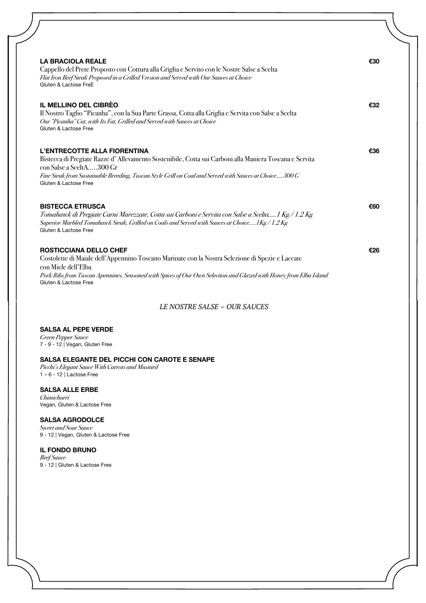| <b>LA BRACIOLA REALE</b><br>Cappello del Prete Proposto con Cottura alla Griglia e Servito con le Nostre Salse a Scelta<br>Flat Iron Beef Steak Proposed in a Grilled Version and Served with Our Sauces at Choice<br>Gluten & Lactose FreE                                                            | €30 |
|--------------------------------------------------------------------------------------------------------------------------------------------------------------------------------------------------------------------------------------------------------------------------------------------------------|-----|
| IL MELLINO DEL CIBRÈO<br>Il Nostro Taglio "Picanha", con la Sua Parte Grassa, Cotta alla Griglia e Servita con Salse a Scelta<br>Our "Picanha" Cut, with Its Fat, Grilled and Served with Sauces at Choice<br>Gluten & Lactose Free                                                                    | €32 |
| L'ENTRECOTTE ALLA FIORENTINA<br>Bistecca di Pregiate Razze d'Allevamento Sostenibile, Cotta sui Carboni alla Maniera Toscana e Servita<br>con Salse a SceltA300 Gr<br>Fine Steak from Sustainable Breeding, Tuscan Style Grill on Coal and Served with Sauces at Choice300 G<br>Gluten & Lactose Free  | €36 |
| <b>BISTECCA ETRUSCA</b><br>Tomahawk di Pregiate Carni Marezzate, Cotta sui Carboni e Servita con Salse a Scelta1 Kg / 1.2 Kg<br>Superior Marbled Tomahawk Steak, Grilled on Coals and Served with Sauces at Choice1Kg / 1.2 Kg<br>Gluten & Lactose Free                                                | €60 |
| <b>ROSTICCIANA DELLO CHEF</b><br>Costolette di Maiale dell'Appennino Toscano Marinate con la Nostra Selezione di Spezie e Laccate<br>con Miele dell'Elba<br>Pork Ribs from Tuscan Apennines, Seasoned with Spices of Our Own Selection and Glazed with Honey from Elba Island<br>Gluten & Lactose Free | €26 |

*LE NOSTRE SALSE – OUR SAUCES*

# **SALSA AL PEPE VERDE**

*Green Pepper Sauce* 7 - 9 - 12 | Vegan, Gluten Free

# **SALSA ELEGANTE DEL PICCHI CON CAROTE E SENAPE**

*Picchi's Elegant Sauce With Carrots and Mustard* 1 – 6 - 12 | Lactose Free

### **SALSA ALLE ERBE**

*Chimichurri* Vegan, Gluten & Lactose Free

# **SALSA AGRODOLCE**

*Sweet and Sour Sauce* 9 - 12 | Vegan, Gluten & Lactose Free

### **IL FONDO BRUNO**

*Beef Sauce* 9 - 12 | Gluten & Lactose Free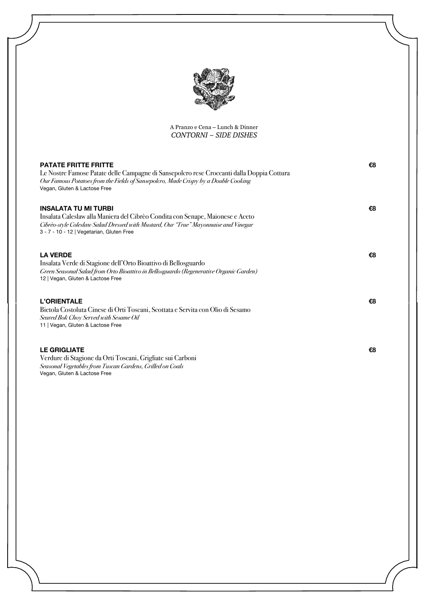

A Pranzo e Cena – Lunch & Dinner *CONTORNI – SIDE DISHES*

| <b>PATATE FRITTE FRITTE</b><br>Le Nostre Famose Patate delle Campagne di Sansepolcro rese Croccanti dalla Doppia Cottura<br>Our Famous Potatoes from the Fields of Sansepolcro, Made Crispy by a Double Cooking<br>Vegan, Gluten & Lactose Free   | €8 |
|---------------------------------------------------------------------------------------------------------------------------------------------------------------------------------------------------------------------------------------------------|----|
| <b>INSALATA TU MI TURBI</b><br>Insalata Caleslaw alla Maniera del Cibrèo Condita con Senape, Maionese e Aceto<br>Cibrèo-style Coleslaw Salad Dressed with Mustard, Our "True" Mayonnaise and Vinegar<br>3 - 7 - 10 - 12   Vegetarian, Gluten Free | €8 |
| <b>LA VERDE</b><br>Insalata Verde di Stagione dell'Orto Bioattivo di Bellosguardo<br>Green Seasonal Salad from Orto Bioattivo in Bellosguardo (Regenerative Organic Garden)<br>12   Vegan, Gluten & Lactose Free                                  | €8 |
| <b>L'ORIENTALE</b><br>Bietola Costoluta Cinese di Orti Toscani, Scottata e Servita con Olio di Sesamo<br>Seared Bok Choy Served with Sesame Oil<br>11   Vegan, Gluten & Lactose Free                                                              | €8 |
| <b>LE GRIGLIATE</b><br>Verdure di Stagione da Orti Toscani, Grigliate sui Carboni<br>Seasonal Vegetables from Tuscan Gardens, Grilled on Coals<br>Vegan, Gluten & Lactose Free                                                                    | €8 |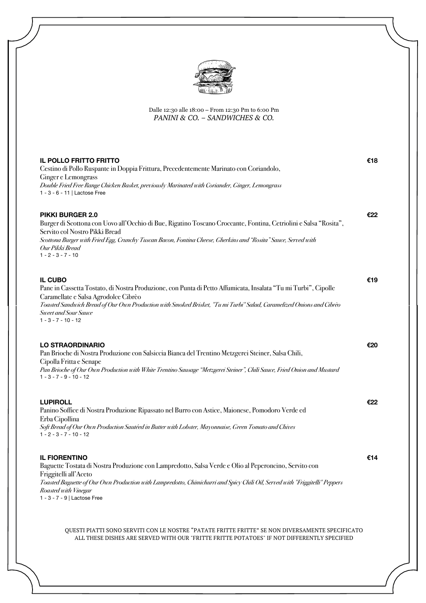

Dalle 12:30 alle 18:00 – From 12:30 Pm to 6:00 Pm *PANINI & CO. – SANDWICHES & CO.*

| <b>IL POLLO FRITTO FRITTO</b><br>Cestino di Pollo Ruspante in Doppia Frittura, Precedentemente Marinato con Coriandolo,<br>Ginger e Lemongrass<br>Double Fried Free Range Chicken Basket, previously Marinated with Coriander, Ginger, Lemongrass<br>1 - 3 - 6 - 11   Lactose Free                                                                | €18 |
|---------------------------------------------------------------------------------------------------------------------------------------------------------------------------------------------------------------------------------------------------------------------------------------------------------------------------------------------------|-----|
| <b>PIKKI BURGER 2.0</b><br>Burger di Scottona con Uovo all'Occhio di Bue, Rigatino Toscano Croccante, Fontina, Cetriolini e Salsa "Rosita",<br>Servito col Nostro Pikki Bread<br>Scottona Burger with Fried Egg, Crunchy Tuscan Bacon, Fontina Cheese, Gherkins and "Rosita" Sauce, Served with<br>Our Pikki Bread<br>$1 - 2 - 3 - 7 - 10$        | €22 |
| <b>IL CUBO</b><br>Pane in Cassetta Tostato, di Nostra Produzione, con Punta di Petto Affumicata, Insalata "Tu mi Turbi", Cipolle<br>Caramellate e Salsa Agrodolce Cibrèo<br>Toasted Sandwich Bread of Our Own Production with Smoked Brisket, "Tu mi Turbi" Salad, Caramelized Onions and Cibrèo<br>Sweet and Sour Sauce<br>$1 - 3 - 7 - 10 - 12$ | €19 |
| <b>LO STRAORDINARIO</b><br>Pan Brioche di Nostra Produzione con Salsiccia Bianca del Trentino Metzgerei Steiner, Salsa Chili,<br>Cipolla Fritta e Senape<br>Pan Brioche of Our Own Production with White Trentino Sausage "Metzgerei Steiner", Chili Sauce, Fried Onion and Mustard<br>$1 - 3 - 7 - 9 - 10 - 12$                                  | €20 |
| <b>LUPIROLL</b><br>Panino Soffice di Nostra Produzione Ripassato nel Burro con Astice, Maionese, Pomodoro Verde ed<br>Erba Cipollina<br>Soft Bread of Our Own Production Sautéed in Butter with Lobster, Mayonnaise, Green Tomato and Chives<br>$1 - 2 - 3 - 7 - 10 - 12$                                                                         | €22 |
| <b>IL FIORENTINO</b><br>Baguette Tostata di Nostra Produzione con Lampredotto, Salsa Verde e Olio al Peperoncino, Servito con<br>Friggitelli all'Aceto<br>Toasted Baguette of Our Own Production with Lampredotto, Chimichurri and Spicy Chili Oil, Served with "Friggitelli" Peppers<br>Roasted with Vinegar<br>1 - 3 - 7 - 9   Lactose Free     | €14 |

QUESTI PIATTI SONO SERVITI CON LE NOSTRE "PATATE FRITTE FRITTE" SE NON DIVERSAMENTE SPECIFICATO ALL THESE DISHES ARE SERVED WITH OUR "FRITTE FRITTE POTATOES" IF NOT DIFFERENTLY SPECIFIED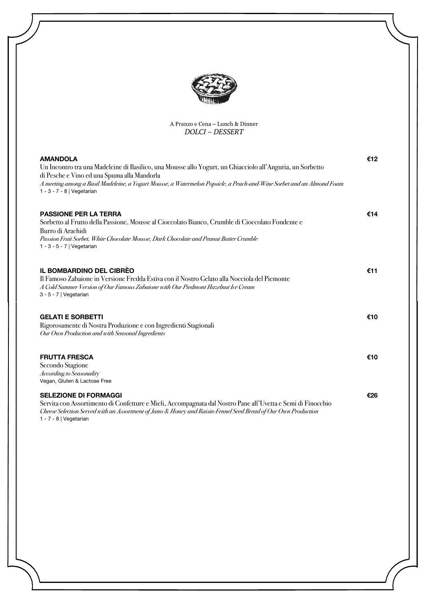

# A Pranzo e Cena – Lunch & Dinner *DOLCI – DESSERT*

| <b>AMANDOLA</b><br>Un Incontro tra una Madeleine di Basilico, una Mousse allo Yogurt, un Ghiacciolo all'Anguria, un Sorbetto<br>di Pesche e Vino ed una Spuma alla Mandorla<br>A meeting among a Basil Madeleine, a Yogurt Mousse, a Watermelon Popsicle, a Peach-and-Wine Sorbet and an Almond Foam<br>1 - 3 - 7 - 8   Vegetarian | €12 |
|------------------------------------------------------------------------------------------------------------------------------------------------------------------------------------------------------------------------------------------------------------------------------------------------------------------------------------|-----|
| <b>PASSIONE PER LA TERRA</b><br>Sorbetto al Frutto della Passione, Mousse al Cioccolato Bianco, Crumble di Cioccolato Fondente e<br>Burro di Arachidi<br>Passion Fruit Sorbet, White Chocolate Mousse, Dark Chocolate and Peanut Butter Crumble<br>1 - 3 - 5 - 7   Vegetarian                                                      | €14 |
| IL BOMBARDINO DEL CIBRÈO<br>Il Famoso Zabaione in Versione Fredda Estiva con il Nostro Gelato alla Nocciola del Piemonte<br>A Cold Summer Version of Our Famous Zabaione with Our Piedmont Hazelnut Ice Cream<br>3 - 5 - 7   Vegetarian                                                                                            | €11 |
| <b>GELATI E SORBETTI</b><br>Rigorosamente di Nostra Produzione e con Ingredienti Stagionali<br>Our Own Production and with Seasonal Ingredients                                                                                                                                                                                    | €10 |
| <b>FRUTTA FRESCA</b><br>Secondo Stagione<br>According to Seasonality<br>Vegan, Gluten & Lactose Free                                                                                                                                                                                                                               | €10 |
| <b>SELEZIONE DI FORMAGGI</b><br>Servita con Assortimento di Confetture e Mieli, Accompagnata dal Nostro Pane all'Uvetta e Semi di Finocchio<br>Cheese Selection Served with an Assortment of Jams & Honey and Raisin-Fennel Seed Bread of Our Own Production                                                                       | €26 |

1 - 7 - 8 | Vegetarian